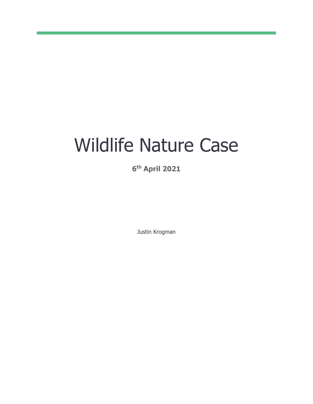# Wildlife Nature Case

**6 th April 2021**

Justin Krogman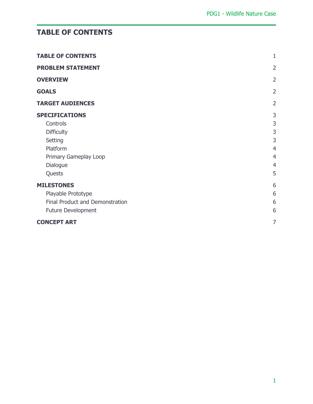# <span id="page-1-0"></span>**TABLE OF CONTENTS**

| <b>TABLE OF CONTENTS</b>                                                                                                     | $\mathbf{1}$                                                                |
|------------------------------------------------------------------------------------------------------------------------------|-----------------------------------------------------------------------------|
| <b>PROBLEM STATEMENT</b>                                                                                                     | $\overline{2}$                                                              |
| <b>OVERVIEW</b>                                                                                                              | $\overline{2}$                                                              |
| <b>GOALS</b>                                                                                                                 | $\overline{2}$                                                              |
| <b>TARGET AUDIENCES</b>                                                                                                      | $\overline{2}$                                                              |
| <b>SPECIFICATIONS</b><br>Controls<br><b>Difficulty</b><br>Setting<br>Platform<br>Primary Gameplay Loop<br>Dialogue<br>Quests | 3<br>3<br>3<br>3<br>$\overline{4}$<br>$\overline{4}$<br>$\overline{4}$<br>5 |
| <b>MILESTONES</b><br>Playable Prototype<br>Final Product and Demonstration<br><b>Future Development</b>                      | 6<br>6<br>6<br>6                                                            |
| <b>CONCEPT ART</b>                                                                                                           | $\overline{7}$                                                              |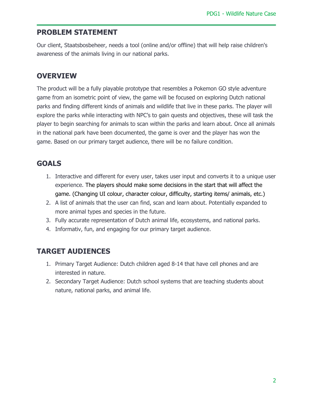### <span id="page-2-0"></span>**PROBLEM STATEMENT**

Our client, Staatsbosbeheer, needs a tool (online and/or offline) that will help raise children's awareness of the animals living in our national parks.

## <span id="page-2-1"></span>**OVERVIEW**

The product will be a fully playable prototype that resembles a Pokemon GO style adventure game from an isometric point of view, the game will be focused on exploring Dutch national parks and finding different kinds of animals and wildlife that live in these parks. The player will explore the parks while interacting with NPC's to gain quests and objectives, these will task the player to begin searching for animals to scan within the parks and learn about. Once all animals in the national park have been documented, the game is over and the player has won the game. Based on our primary target audience, there will be no failure condition.

## <span id="page-2-2"></span>**GOALS**

- 1. Interactive and different for every user, takes user input and converts it to a unique user experience. The players should make some decisions in the start that will affect the game. (Changing UI colour, character colour, difficulty, starting items/ animals, etc.)
- 2. A list of animals that the user can find, scan and learn about. Potentially expanded to more animal types and species in the future.
- 3. Fully accurate representation of Dutch animal life, ecosystems, and national parks.
- 4. Informativ, fun, and engaging for our primary target audience.

## <span id="page-2-3"></span>**TARGET AUDIENCES**

- 1. Primary Target Audience: Dutch children aged 8-14 that have cell phones and are interested in nature.
- 2. Secondary Target Audience: Dutch school systems that are teaching students about nature, national parks, and animal life.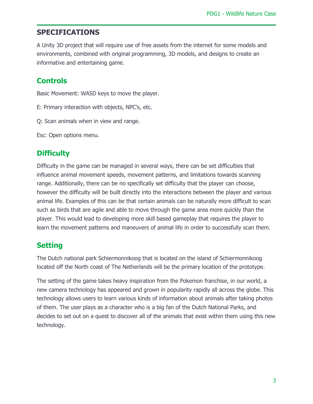## <span id="page-3-0"></span>**SPECIFICATIONS**

A Unity 3D project that will require use of free assets from the internet for some models and environments, combined with original programming, 3D models, and designs to create an informative and entertaining game.

## <span id="page-3-1"></span>**Controls**

Basic Movement: WASD keys to move the player.

- E: Primary interaction with objects, NPC's, etc.
- Q: Scan animals when in view and range.

Esc: Open options menu.

## <span id="page-3-2"></span>**Difficulty**

Difficulty in the game can be managed in several ways, there can be set difficulties that influence animal movement speeds, movement patterns, and limitations towards scanning range. Additionally, there can be no specifically set difficulty that the player can choose, however the difficulty will be built directly into the interactions between the player and various animal life. Examples of this can be that certain animals can be naturally more difficult to scan such as birds that are agile and able to move through the game area more quickly than the player. This would lead to developing more skill based gameplay that requires the player to learn the movement patterns and maneuvers of animal life in order to successfully scan them.

## <span id="page-3-3"></span>**Setting**

The Dutch national park Schiermonnikoog that is located on the island of Schiermonnikoog located off the North coast of The Netherlands will be the primary location of the prototype.

The setting of the game takes heavy inspiration from the Pokemon franchise, in our world, a new camera technology has appeared and grown in popularity rapidly all across the globe. This technology allows users to learn various kinds of information about animals after taking photos of them. The user plays as a character who is a big fan of the Dutch National Parks, and decides to set out on a quest to discover all of the animals that exist within them using this new technology.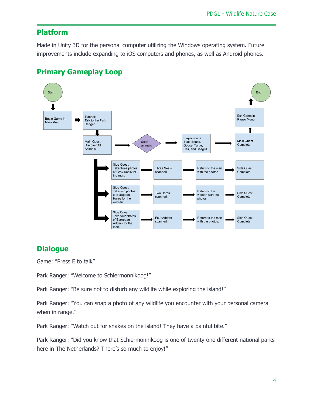## <span id="page-4-0"></span>**Platform**

Made in Unity 3D for the personal computer utilizing the Windows operating system. Future improvements include expanding to iOS computers and phones, as well as Android phones.



# <span id="page-4-1"></span>**Primary Gameplay Loop**

## <span id="page-4-2"></span>**Dialogue**

Game: "Press E to talk"

Park Ranger: "Welcome to Schiermonnikoog!"

Park Ranger: "Be sure not to disturb any wildlife while exploring the island!"

Park Ranger: "You can snap a photo of any wildlife you encounter with your personal camera when in range."

Park Ranger: "Watch out for snakes on the island! They have a painful bite."

Park Ranger: "Did you know that Schiermonnikoog is one of twenty one different national parks here in The Netherlands? There's so much to enjoy!"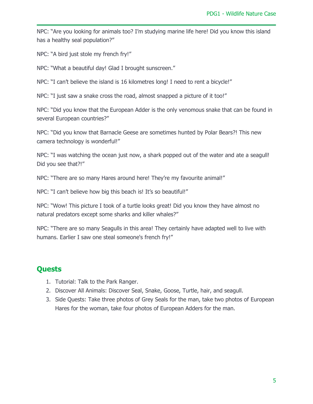NPC: "Are you looking for animals too? I'm studying marine life here! Did you know this island has a healthy seal population?"

NPC: "A bird just stole my french fry!"

NPC: "What a beautiful day! Glad I brought sunscreen."

NPC: "I can't believe the island is 16 kilometres long! I need to rent a bicycle!"

NPC: "I just saw a snake cross the road, almost snapped a picture of it too!"

NPC: "Did you know that the European Adder is the only venomous snake that can be found in several European countries?"

NPC: "Did you know that Barnacle Geese are sometimes hunted by Polar Bears?! This new camera technology is wonderful!"

NPC: "I was watching the ocean just now, a shark popped out of the water and ate a seagull! Did you see that?!"

NPC: "There are so many Hares around here! They're my favourite animal!"

NPC: "I can't believe how big this beach is! It's so beautiful!"

NPC: "Wow! This picture I took of a turtle looks great! Did you know they have almost no natural predators except some sharks and killer whales?"

NPC: "There are so many Seagulls in this area! They certainly have adapted well to live with humans. Earlier I saw one steal someone's french fry!"

## <span id="page-5-0"></span>**Quests**

- 1. Tutorial: Talk to the Park Ranger.
- 2. Discover All Animals: Discover Seal, Snake, Goose, Turtle, hair, and seagull.
- 3. Side Quests: Take three photos of Grey Seals for the man, take two photos of European Hares for the woman, take four photos of European Adders for the man.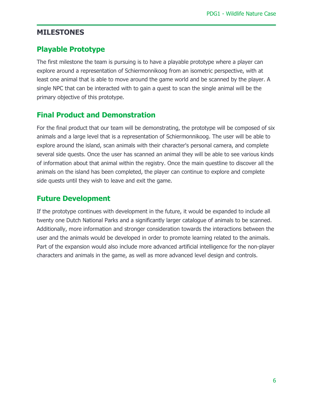#### <span id="page-6-1"></span><span id="page-6-0"></span>**MILESTONES**

#### **Playable Prototype**

The first milestone the team is pursuing is to have a playable prototype where a player can explore around a representation of Schiermonnikoog from an isometric perspective, with at least one animal that is able to move around the game world and be scanned by the player. A single NPC that can be interacted with to gain a quest to scan the single animal will be the primary objective of this prototype.

#### <span id="page-6-2"></span>**Final Product and Demonstration**

For the final product that our team will be demonstrating, the prototype will be composed of six animals and a large level that is a representation of Schiermonnikoog. The user will be able to explore around the island, scan animals with their character's personal camera, and complete several side quests. Once the user has scanned an animal they will be able to see various kinds of information about that animal within the registry. Once the main questline to discover all the animals on the island has been completed, the player can continue to explore and complete side quests until they wish to leave and exit the game.

#### <span id="page-6-3"></span>**Future Development**

If the prototype continues with development in the future, it would be expanded to include all twenty one Dutch National Parks and a significantly larger catalogue of animals to be scanned. Additionally, more information and stronger consideration towards the interactions between the user and the animals would be developed in order to promote learning related to the animals. Part of the expansion would also include more advanced artificial intelligence for the non-player characters and animals in the game, as well as more advanced level design and controls.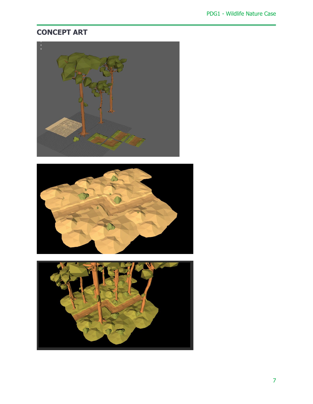# <span id="page-7-0"></span>**CONCEPT ART**





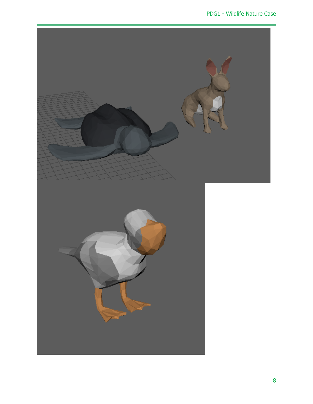